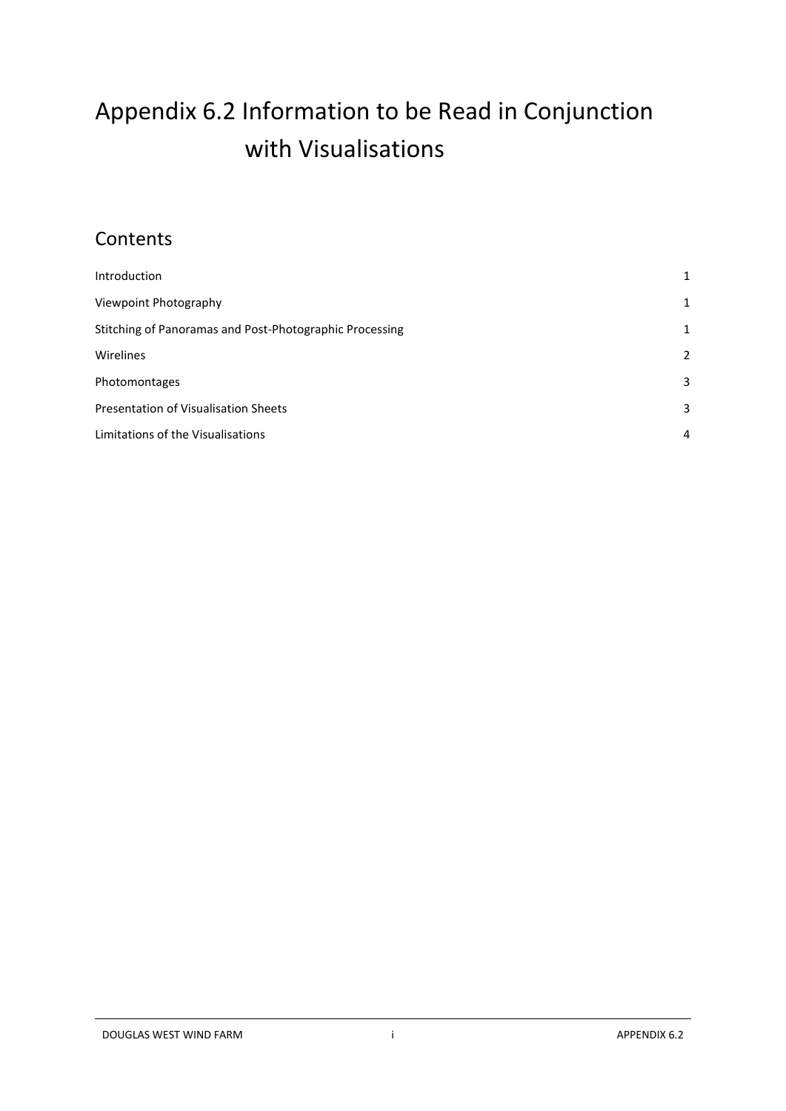# Appendix 6.2 Information to be Read in Conjunction with Visualisations

# **Contents**

| Introduction                                            | 1              |
|---------------------------------------------------------|----------------|
| Viewpoint Photography                                   | 1              |
| Stitching of Panoramas and Post-Photographic Processing | 1              |
| Wirelines                                               | $\overline{2}$ |
| Photomontages                                           | 3              |
| <b>Presentation of Visualisation Sheets</b>             | 3              |
| Limitations of the Visualisations                       | 4              |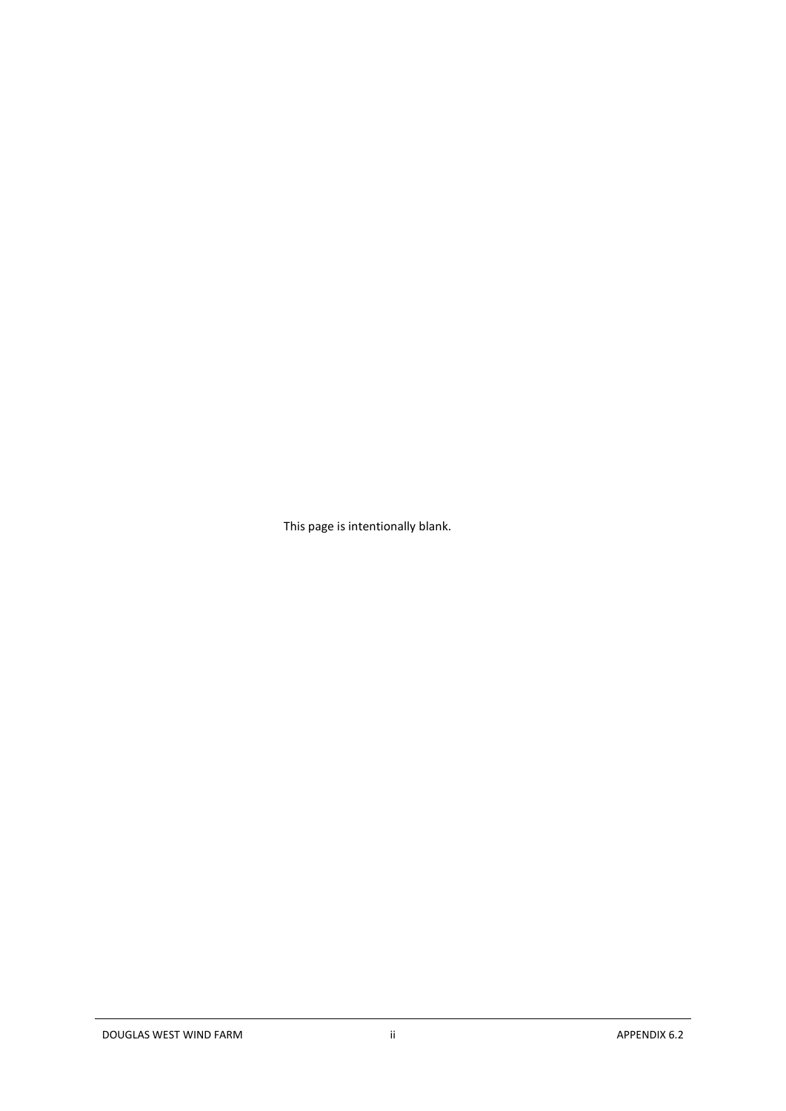This page is intentionally blank.

DOUGLAS WEST WIND FARM **ii APPENDIX 6.2**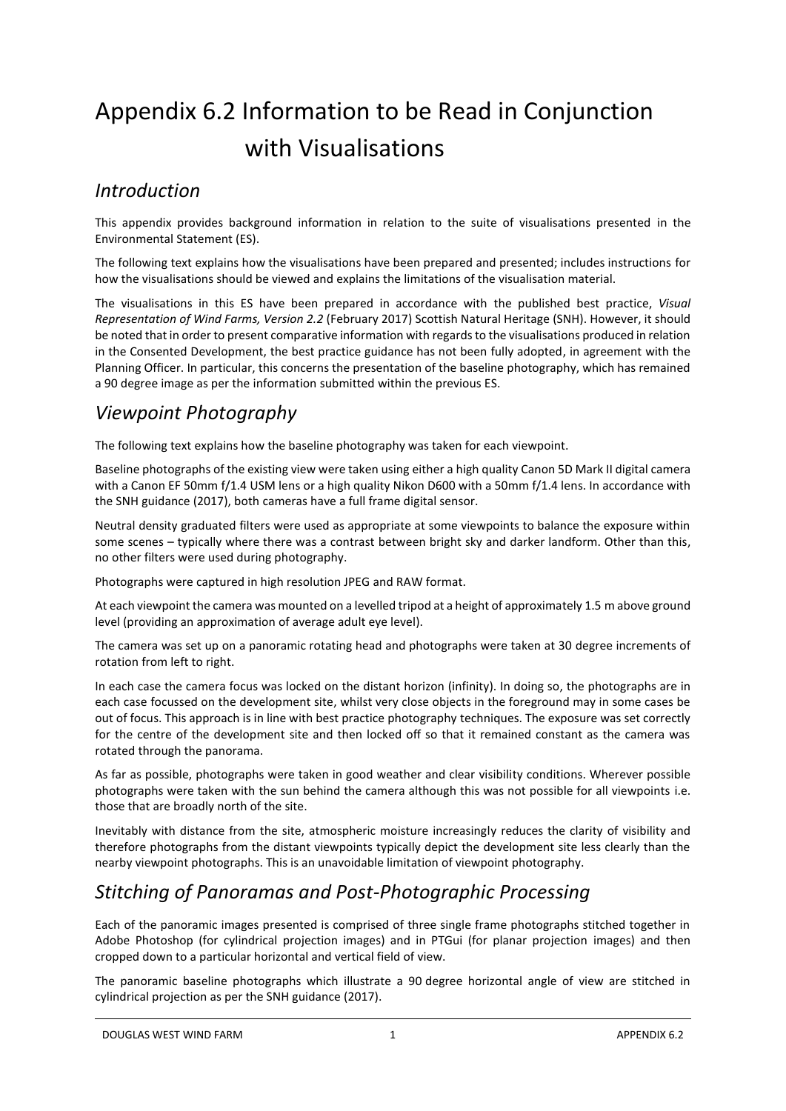# Appendix 6.2 Information to be Read in Conjunction with Visualisations

### <span id="page-2-0"></span>*Introduction*

This appendix provides background information in relation to the suite of visualisations presented in the Environmental Statement (ES).

The following text explains how the visualisations have been prepared and presented; includes instructions for how the visualisations should be viewed and explains the limitations of the visualisation material.

The visualisations in this ES have been prepared in accordance with the published best practice, *Visual Representation of Wind Farms, Version 2.2* (February 2017) Scottish Natural Heritage (SNH). However, it should be noted that in order to present comparative information with regards to the visualisations produced in relation in the Consented Development, the best practice guidance has not been fully adopted, in agreement with the Planning Officer. In particular, this concerns the presentation of the baseline photography, which has remained a 90 degree image as per the information submitted within the previous ES.

# <span id="page-2-1"></span>*Viewpoint Photography*

The following text explains how the baseline photography was taken for each viewpoint.

Baseline photographs of the existing view were taken using either a high quality Canon 5D Mark II digital camera with a Canon EF 50mm f/1.4 USM lens or a high quality Nikon D600 with a 50mm f/1.4 lens. In accordance with the SNH guidance (2017), both cameras have a full frame digital sensor.

Neutral density graduated filters were used as appropriate at some viewpoints to balance the exposure within some scenes – typically where there was a contrast between bright sky and darker landform. Other than this, no other filters were used during photography.

Photographs were captured in high resolution JPEG and RAW format.

At each viewpoint the camera was mounted on a levelled tripod at a height of approximately 1.5 m above ground level (providing an approximation of average adult eye level).

The camera was set up on a panoramic rotating head and photographs were taken at 30 degree increments of rotation from left to right.

In each case the camera focus was locked on the distant horizon (infinity). In doing so, the photographs are in each case focussed on the development site, whilst very close objects in the foreground may in some cases be out of focus. This approach is in line with best practice photography techniques. The exposure was set correctly for the centre of the development site and then locked off so that it remained constant as the camera was rotated through the panorama.

As far as possible, photographs were taken in good weather and clear visibility conditions. Wherever possible photographs were taken with the sun behind the camera although this was not possible for all viewpoints i.e. those that are broadly north of the site.

Inevitably with distance from the site, atmospheric moisture increasingly reduces the clarity of visibility and therefore photographs from the distant viewpoints typically depict the development site less clearly than the nearby viewpoint photographs. This is an unavoidable limitation of viewpoint photography.

# <span id="page-2-2"></span>*Stitching of Panoramas and Post-Photographic Processing*

Each of the panoramic images presented is comprised of three single frame photographs stitched together in Adobe Photoshop (for cylindrical projection images) and in PTGui (for planar projection images) and then cropped down to a particular horizontal and vertical field of view.

The panoramic baseline photographs which illustrate a 90 degree horizontal angle of view are stitched in cylindrical projection as per the SNH guidance (2017).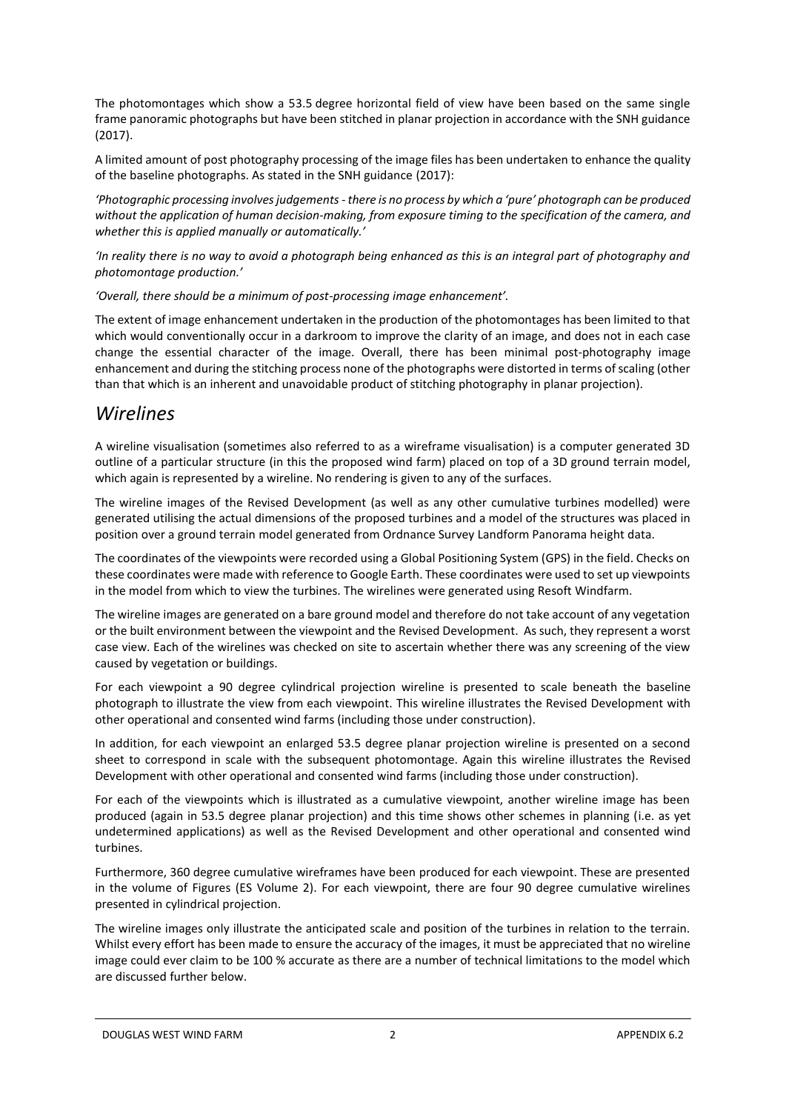The photomontages which show a 53.5 degree horizontal field of view have been based on the same single frame panoramic photographs but have been stitched in planar projection in accordance with the SNH guidance (2017).

A limited amount of post photography processing of the image files has been undertaken to enhance the quality of the baseline photographs. As stated in the SNH guidance (2017):

*'Photographic processing involves judgements -there is no process by which a 'pure' photograph can be produced without the application of human decision-making, from exposure timing to the specification of the camera, and whether this is applied manually or automatically.'*

*'In reality there is no way to avoid a photograph being enhanced as this is an integral part of photography and photomontage production.'* 

*'Overall, there should be a minimum of post-processing image enhancement'.*

The extent of image enhancement undertaken in the production of the photomontages has been limited to that which would conventionally occur in a darkroom to improve the clarity of an image, and does not in each case change the essential character of the image. Overall, there has been minimal post-photography image enhancement and during the stitching process none of the photographs were distorted in terms of scaling (other than that which is an inherent and unavoidable product of stitching photography in planar projection).

### <span id="page-3-0"></span>*Wirelines*

A wireline visualisation (sometimes also referred to as a wireframe visualisation) is a computer generated 3D outline of a particular structure (in this the proposed wind farm) placed on top of a 3D ground terrain model, which again is represented by a wireline. No rendering is given to any of the surfaces.

The wireline images of the Revised Development (as well as any other cumulative turbines modelled) were generated utilising the actual dimensions of the proposed turbines and a model of the structures was placed in position over a ground terrain model generated from Ordnance Survey Landform Panorama height data.

The coordinates of the viewpoints were recorded using a Global Positioning System (GPS) in the field. Checks on these coordinates were made with reference to Google Earth. These coordinates were used to set up viewpoints in the model from which to view the turbines. The wirelines were generated using Resoft Windfarm.

The wireline images are generated on a bare ground model and therefore do not take account of any vegetation or the built environment between the viewpoint and the Revised Development. As such, they represent a worst case view. Each of the wirelines was checked on site to ascertain whether there was any screening of the view caused by vegetation or buildings.

For each viewpoint a 90 degree cylindrical projection wireline is presented to scale beneath the baseline photograph to illustrate the view from each viewpoint. This wireline illustrates the Revised Development with other operational and consented wind farms (including those under construction).

In addition, for each viewpoint an enlarged 53.5 degree planar projection wireline is presented on a second sheet to correspond in scale with the subsequent photomontage. Again this wireline illustrates the Revised Development with other operational and consented wind farms (including those under construction).

For each of the viewpoints which is illustrated as a cumulative viewpoint, another wireline image has been produced (again in 53.5 degree planar projection) and this time shows other schemes in planning (i.e. as yet undetermined applications) as well as the Revised Development and other operational and consented wind turbines.

Furthermore, 360 degree cumulative wireframes have been produced for each viewpoint. These are presented in the volume of Figures (ES Volume 2). For each viewpoint, there are four 90 degree cumulative wirelines presented in cylindrical projection.

The wireline images only illustrate the anticipated scale and position of the turbines in relation to the terrain. Whilst every effort has been made to ensure the accuracy of the images, it must be appreciated that no wireline image could ever claim to be 100 % accurate as there are a number of technical limitations to the model which are discussed further below.

DOUGLAS WEST WIND FARM **2** 2 APPENDIX 6.2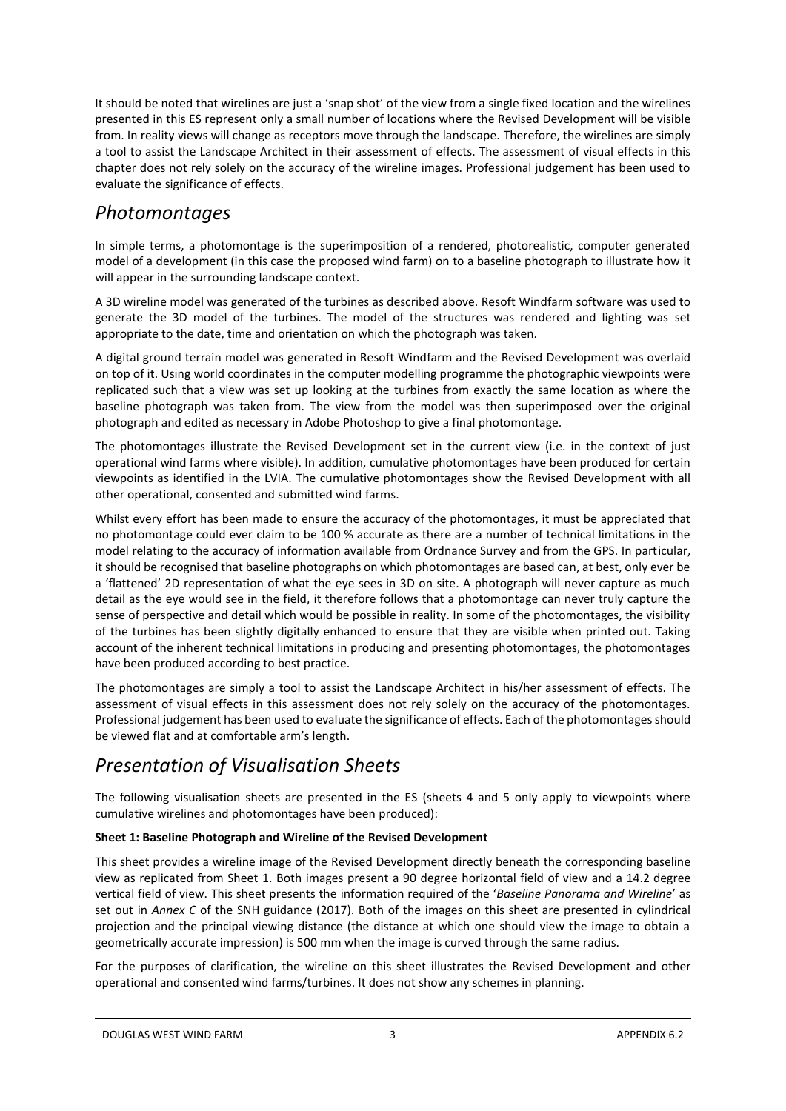It should be noted that wirelines are just a 'snap shot' of the view from a single fixed location and the wirelines presented in this ES represent only a small number of locations where the Revised Development will be visible from. In reality views will change as receptors move through the landscape. Therefore, the wirelines are simply a tool to assist the Landscape Architect in their assessment of effects. The assessment of visual effects in this chapter does not rely solely on the accuracy of the wireline images. Professional judgement has been used to evaluate the significance of effects.

### <span id="page-4-0"></span>*Photomontages*

In simple terms, a photomontage is the superimposition of a rendered, photorealistic, computer generated model of a development (in this case the proposed wind farm) on to a baseline photograph to illustrate how it will appear in the surrounding landscape context.

A 3D wireline model was generated of the turbines as described above. Resoft Windfarm software was used to generate the 3D model of the turbines. The model of the structures was rendered and lighting was set appropriate to the date, time and orientation on which the photograph was taken.

A digital ground terrain model was generated in Resoft Windfarm and the Revised Development was overlaid on top of it. Using world coordinates in the computer modelling programme the photographic viewpoints were replicated such that a view was set up looking at the turbines from exactly the same location as where the baseline photograph was taken from. The view from the model was then superimposed over the original photograph and edited as necessary in Adobe Photoshop to give a final photomontage.

The photomontages illustrate the Revised Development set in the current view (i.e. in the context of just operational wind farms where visible). In addition, cumulative photomontages have been produced for certain viewpoints as identified in the LVIA. The cumulative photomontages show the Revised Development with all other operational, consented and submitted wind farms.

Whilst every effort has been made to ensure the accuracy of the photomontages, it must be appreciated that no photomontage could ever claim to be 100 % accurate as there are a number of technical limitations in the model relating to the accuracy of information available from Ordnance Survey and from the GPS. In particular, it should be recognised that baseline photographs on which photomontages are based can, at best, only ever be a 'flattened' 2D representation of what the eye sees in 3D on site. A photograph will never capture as much detail as the eye would see in the field, it therefore follows that a photomontage can never truly capture the sense of perspective and detail which would be possible in reality. In some of the photomontages, the visibility of the turbines has been slightly digitally enhanced to ensure that they are visible when printed out. Taking account of the inherent technical limitations in producing and presenting photomontages, the photomontages have been produced according to best practice.

The photomontages are simply a tool to assist the Landscape Architect in his/her assessment of effects. The assessment of visual effects in this assessment does not rely solely on the accuracy of the photomontages. Professional judgement has been used to evaluate the significance of effects. Each of the photomontages should be viewed flat and at comfortable arm's length.

# <span id="page-4-1"></span>*Presentation of Visualisation Sheets*

The following visualisation sheets are presented in the ES (sheets 4 and 5 only apply to viewpoints where cumulative wirelines and photomontages have been produced):

### **Sheet 1: Baseline Photograph and Wireline of the Revised Development**

This sheet provides a wireline image of the Revised Development directly beneath the corresponding baseline view as replicated from Sheet 1. Both images present a 90 degree horizontal field of view and a 14.2 degree vertical field of view. This sheet presents the information required of the '*Baseline Panorama and Wireline*' as set out in *Annex C* of the SNH guidance (2017). Both of the images on this sheet are presented in cylindrical projection and the principal viewing distance (the distance at which one should view the image to obtain a geometrically accurate impression) is 500 mm when the image is curved through the same radius.

For the purposes of clarification, the wireline on this sheet illustrates the Revised Development and other operational and consented wind farms/turbines. It does not show any schemes in planning.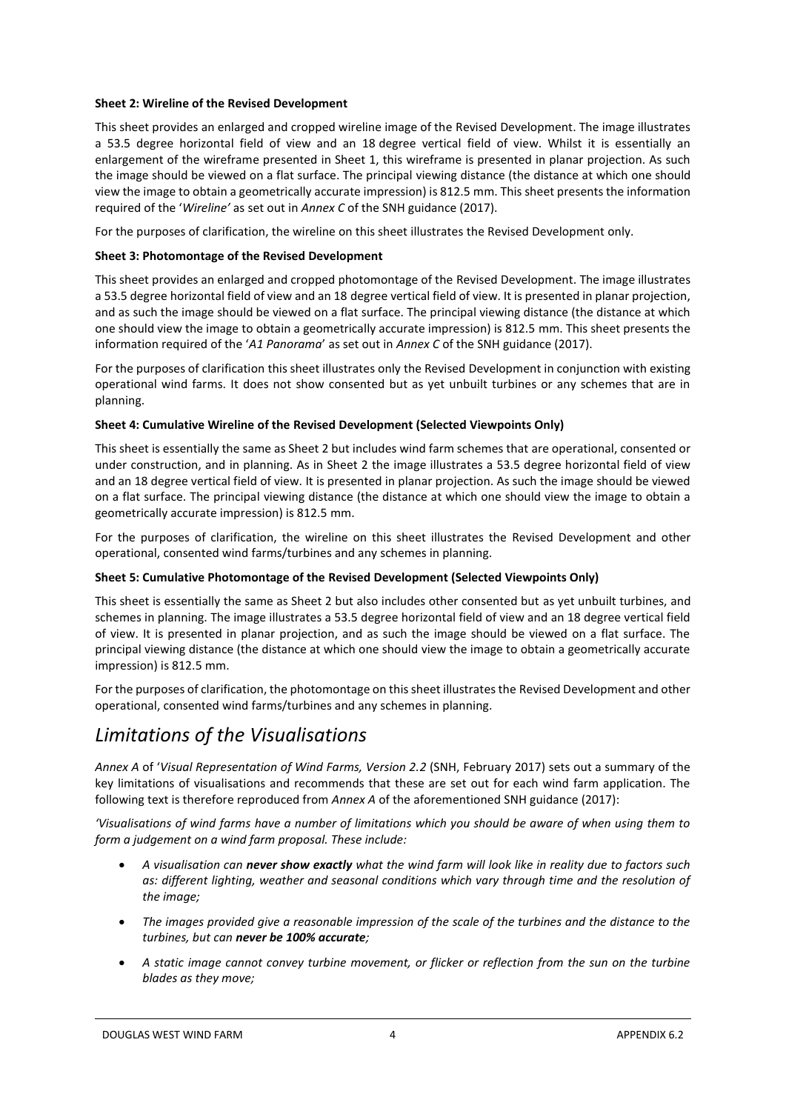#### **Sheet 2: Wireline of the Revised Development**

This sheet provides an enlarged and cropped wireline image of the Revised Development. The image illustrates a 53.5 degree horizontal field of view and an 18 degree vertical field of view. Whilst it is essentially an enlargement of the wireframe presented in Sheet 1, this wireframe is presented in planar projection. As such the image should be viewed on a flat surface. The principal viewing distance (the distance at which one should view the image to obtain a geometrically accurate impression) is 812.5 mm. This sheet presents the information required of the '*Wireline'* as set out in *Annex C* of the SNH guidance (2017).

For the purposes of clarification, the wireline on this sheet illustrates the Revised Development only.

#### **Sheet 3: Photomontage of the Revised Development**

This sheet provides an enlarged and cropped photomontage of the Revised Development. The image illustrates a 53.5 degree horizontal field of view and an 18 degree vertical field of view. It is presented in planar projection, and as such the image should be viewed on a flat surface. The principal viewing distance (the distance at which one should view the image to obtain a geometrically accurate impression) is 812.5 mm. This sheet presents the information required of the '*A1 Panorama*' as set out in *Annex C* of the SNH guidance (2017).

For the purposes of clarification this sheet illustrates only the Revised Development in conjunction with existing operational wind farms. It does not show consented but as yet unbuilt turbines or any schemes that are in planning.

#### **Sheet 4: Cumulative Wireline of the Revised Development (Selected Viewpoints Only)**

This sheet is essentially the same as Sheet 2 but includes wind farm schemes that are operational, consented or under construction, and in planning. As in Sheet 2 the image illustrates a 53.5 degree horizontal field of view and an 18 degree vertical field of view. It is presented in planar projection. As such the image should be viewed on a flat surface. The principal viewing distance (the distance at which one should view the image to obtain a geometrically accurate impression) is 812.5 mm.

For the purposes of clarification, the wireline on this sheet illustrates the Revised Development and other operational, consented wind farms/turbines and any schemes in planning.

#### **Sheet 5: Cumulative Photomontage of the Revised Development (Selected Viewpoints Only)**

This sheet is essentially the same as Sheet 2 but also includes other consented but as yet unbuilt turbines, and schemes in planning. The image illustrates a 53.5 degree horizontal field of view and an 18 degree vertical field of view. It is presented in planar projection, and as such the image should be viewed on a flat surface. The principal viewing distance (the distance at which one should view the image to obtain a geometrically accurate impression) is 812.5 mm.

For the purposes of clarification, the photomontage on this sheet illustrates the Revised Development and other operational, consented wind farms/turbines and any schemes in planning.

### <span id="page-5-0"></span>*Limitations of the Visualisations*

*Annex A* of '*Visual Representation of Wind Farms, Version 2.2* (SNH, February 2017) sets out a summary of the key limitations of visualisations and recommends that these are set out for each wind farm application. The following text is therefore reproduced from *Annex A* of the aforementioned SNH guidance (2017):

*'Visualisations of wind farms have a number of limitations which you should be aware of when using them to form a judgement on a wind farm proposal. These include:* 

- *A visualisation can never show exactly what the wind farm will look like in reality due to factors such as: different lighting, weather and seasonal conditions which vary through time and the resolution of the image;*
- *The images provided give a reasonable impression of the scale of the turbines and the distance to the turbines, but can never be 100% accurate;*
- *A static image cannot convey turbine movement, or flicker or reflection from the sun on the turbine blades as they move;*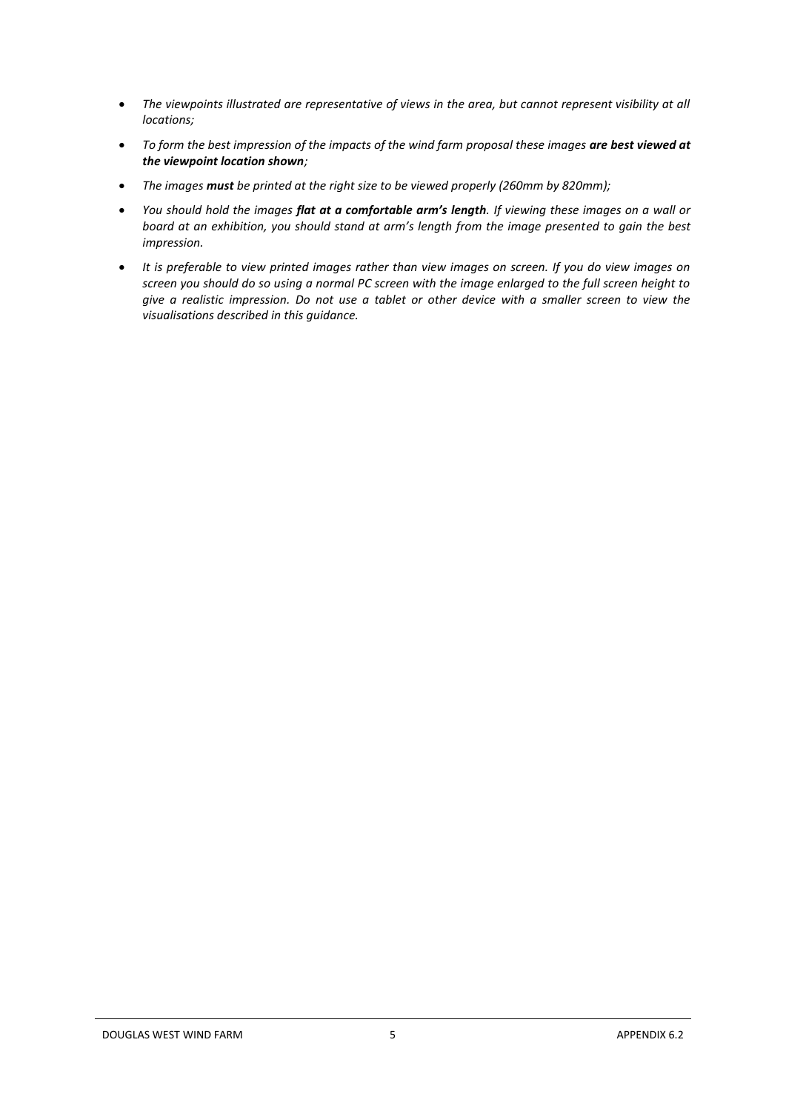- *The viewpoints illustrated are representative of views in the area, but cannot represent visibility at all locations;*
- **•** To form the best impression of the impacts of the wind farm proposal these images are best viewed at *the viewpoint location shown;*
- *The images must be printed at the right size to be viewed properly (260mm by 820mm);*
- *You should hold the images flat at a comfortable arm's length. If viewing these images on a wall or board at an exhibition, you should stand at arm's length from the image presented to gain the best impression.*
- *It is preferable to view printed images rather than view images on screen. If you do view images on screen you should do so using a normal PC screen with the image enlarged to the full screen height to give a realistic impression. Do not use a tablet or other device with a smaller screen to view the visualisations described in this guidance.*